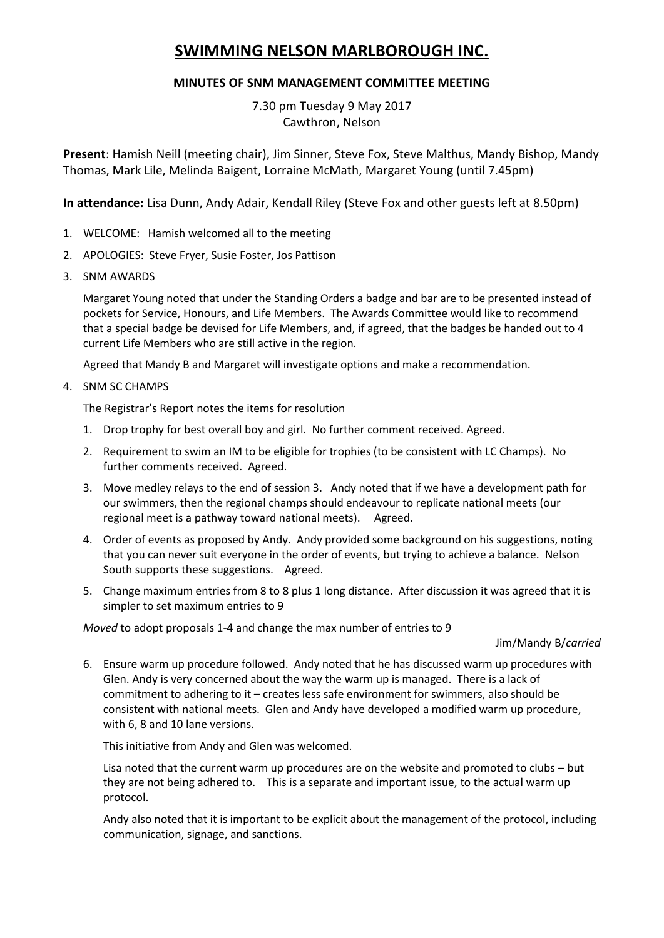# **SWIMMING NELSON MARLBOROUGH INC.**

## **MINUTES OF SNM MANAGEMENT COMMITTEE MEETING**

7.30 pm Tuesday 9 May 2017 Cawthron, Nelson

**Present**: Hamish Neill (meeting chair), Jim Sinner, Steve Fox, Steve Malthus, Mandy Bishop, Mandy Thomas, Mark Lile, Melinda Baigent, Lorraine McMath, Margaret Young (until 7.45pm)

**In attendance:** Lisa Dunn, Andy Adair, Kendall Riley (Steve Fox and other guests left at 8.50pm)

- 1. WELCOME: Hamish welcomed all to the meeting
- 2. APOLOGIES: Steve Fryer, Susie Foster, Jos Pattison
- 3. SNM AWARDS

Margaret Young noted that under the Standing Orders a badge and bar are to be presented instead of pockets for Service, Honours, and Life Members. The Awards Committee would like to recommend that a special badge be devised for Life Members, and, if agreed, that the badges be handed out to 4 current Life Members who are still active in the region.

Agreed that Mandy B and Margaret will investigate options and make a recommendation.

4. SNM SC CHAMPS

The Registrar's Report notes the items for resolution

- 1. Drop trophy for best overall boy and girl. No further comment received. Agreed.
- 2. Requirement to swim an IM to be eligible for trophies (to be consistent with LC Champs). No further comments received. Agreed.
- 3. Move medley relays to the end of session 3. Andy noted that if we have a development path for our swimmers, then the regional champs should endeavour to replicate national meets (our regional meet is a pathway toward national meets). Agreed.
- 4. Order of events as proposed by Andy. Andy provided some background on his suggestions, noting that you can never suit everyone in the order of events, but trying to achieve a balance. Nelson South supports these suggestions. Agreed.
- 5. Change maximum entries from 8 to 8 plus 1 long distance. After discussion it was agreed that it is simpler to set maximum entries to 9

*Moved* to adopt proposals 1-4 and change the max number of entries to 9

#### Jim/Mandy B/*carried*

6. Ensure warm up procedure followed. Andy noted that he has discussed warm up procedures with Glen. Andy is very concerned about the way the warm up is managed. There is a lack of commitment to adhering to it – creates less safe environment for swimmers, also should be consistent with national meets. Glen and Andy have developed a modified warm up procedure, with 6, 8 and 10 lane versions.

This initiative from Andy and Glen was welcomed.

Lisa noted that the current warm up procedures are on the website and promoted to clubs – but they are not being adhered to. This is a separate and important issue, to the actual warm up protocol.

Andy also noted that it is important to be explicit about the management of the protocol, including communication, signage, and sanctions.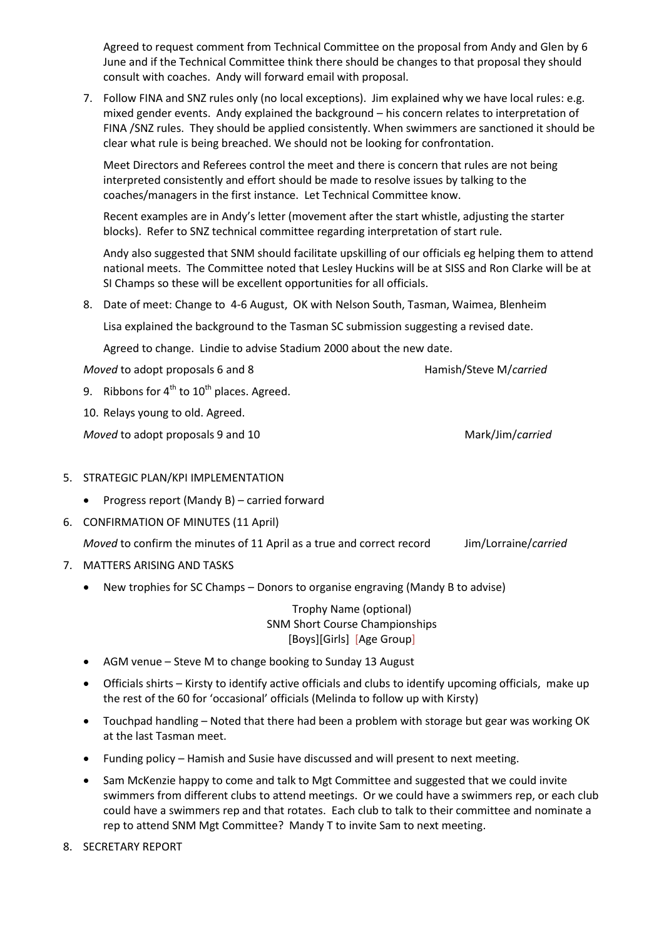Agreed to request comment from Technical Committee on the proposal from Andy and Glen by 6 June and if the Technical Committee think there should be changes to that proposal they should consult with coaches. Andy will forward email with proposal.

7. Follow FINA and SNZ rules only (no local exceptions). Jim explained why we have local rules: e.g. mixed gender events. Andy explained the background – his concern relates to interpretation of FINA /SNZ rules. They should be applied consistently. When swimmers are sanctioned it should be clear what rule is being breached. We should not be looking for confrontation.

Meet Directors and Referees control the meet and there is concern that rules are not being interpreted consistently and effort should be made to resolve issues by talking to the coaches/managers in the first instance. Let Technical Committee know.

Recent examples are in Andy's letter (movement after the start whistle, adjusting the starter blocks). Refer to SNZ technical committee regarding interpretation of start rule.

Andy also suggested that SNM should facilitate upskilling of our officials eg helping them to attend national meets. The Committee noted that Lesley Huckins will be at SISS and Ron Clarke will be at SI Champs so these will be excellent opportunities for all officials.

8. Date of meet: Change to 4-6 August, OK with Nelson South, Tasman, Waimea, Blenheim

Lisa explained the background to the Tasman SC submission suggesting a revised date.

Agreed to change. Lindie to advise Stadium 2000 about the new date.

*Moved* to adopt proposals 6 and 8 **Hamish/Steve M**/*carried* 

9. Ribbons for  $4^{th}$  to  $10^{th}$  places. Agreed.

10. Relays young to old. Agreed.

*Moved* to adopt proposals 9 and 10 Mark/Jim/*carried* 

- 5. STRATEGIC PLAN/KPI IMPLEMENTATION
	- Progress report (Mandy B) carried forward
- 6. CONFIRMATION OF MINUTES (11 April)

*Moved* to confirm the minutes of 11 April as a true and correct record Jim/Lorraine/*carried*

- 7. MATTERS ARISING AND TASKS
	- New trophies for SC Champs Donors to organise engraving (Mandy B to advise)

Trophy Name (optional) SNM Short Course Championships [Boys][Girls] [Age Group]

- AGM venue Steve M to change booking to Sunday 13 August
- Officials shirts Kirsty to identify active officials and clubs to identify upcoming officials, make up the rest of the 60 for 'occasional' officials (Melinda to follow up with Kirsty)
- Touchpad handling Noted that there had been a problem with storage but gear was working OK at the last Tasman meet.
- Funding policy Hamish and Susie have discussed and will present to next meeting.
- Sam McKenzie happy to come and talk to Mgt Committee and suggested that we could invite swimmers from different clubs to attend meetings. Or we could have a swimmers rep, or each club could have a swimmers rep and that rotates. Each club to talk to their committee and nominate a rep to attend SNM Mgt Committee? Mandy T to invite Sam to next meeting.
- 8. SECRETARY REPORT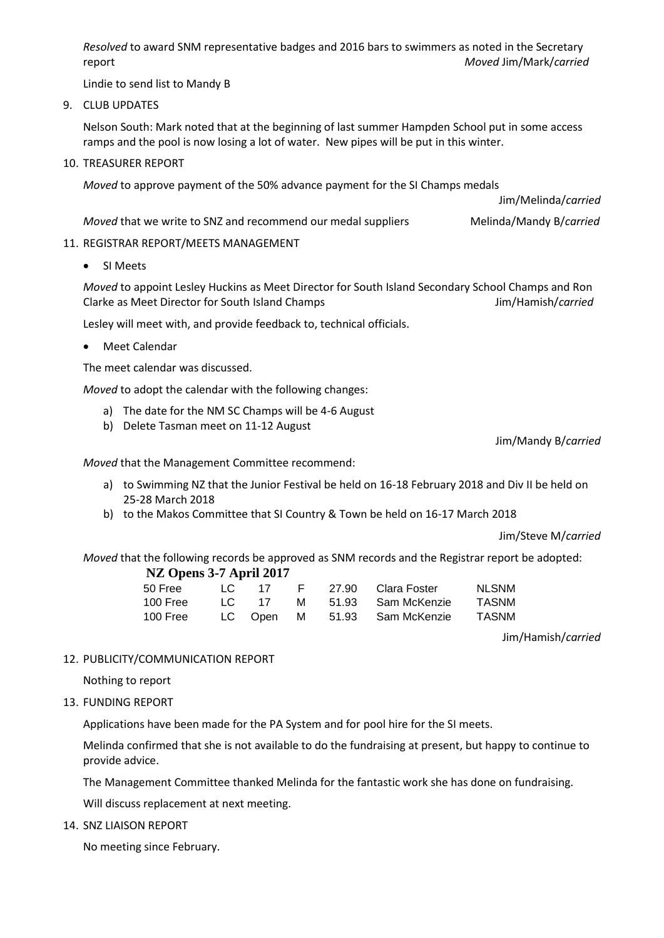*Resolved* to award SNM representative badges and 2016 bars to swimmers as noted in the Secretary report *Moved* Jim/Mark/*carried*

Lindie to send list to Mandy B

9. CLUB UPDATES

Nelson South: Mark noted that at the beginning of last summer Hampden School put in some access ramps and the pool is now losing a lot of water. New pipes will be put in this winter.

10. TREASURER REPORT

*Moved* to approve payment of the 50% advance payment for the SI Champs medals

Jim/Melinda/*carried*

*Moved* that we write to SNZ and recommend our medal suppliers Melinda/Mandy B/*carried* 

#### 11. REGISTRAR REPORT/MEETS MANAGEMENT

SI Meets

*Moved* to appoint Lesley Huckins as Meet Director for South Island Secondary School Champs and Ron Clarke as Meet Director for South Island Champs Jim/Hamish/*carried*

Lesley will meet with, and provide feedback to, technical officials.

Meet Calendar

The meet calendar was discussed.

*Moved* to adopt the calendar with the following changes:

- a) The date for the NM SC Champs will be 4-6 August
- b) Delete Tasman meet on 11-12 August

Jim/Mandy B/*carried*

*Moved* that the Management Committee recommend:

- a) to Swimming NZ that the Junior Festival be held on 16-18 February 2018 and Div II be held on 25-28 March 2018
- b) to the Makos Committee that SI Country & Town be held on 16-17 March 2018

Jim/Steve M/*carried*

*Moved* that the following records be approved as SNM records and the Registrar report be adopted: **NZ Opens 3-7 April 2017**

| $112$ Opens $27$ Tapin 2017 |  |         |  |  |                              |              |
|-----------------------------|--|---------|--|--|------------------------------|--------------|
| 50 Free                     |  |         |  |  | LC 17 F 27.90 Clara Foster   | <b>NLSNM</b> |
| 100 Free                    |  | LC 17 M |  |  | 51.93 Sam McKenzie           | <b>TASNM</b> |
| 100 Free                    |  |         |  |  | LC Open M 51.93 Sam McKenzie | <b>TASNM</b> |

Jim/Hamish/*carried*

#### 12. PUBLICITY/COMMUNICATION REPORT

Nothing to report

13. FUNDING REPORT

Applications have been made for the PA System and for pool hire for the SI meets.

Melinda confirmed that she is not available to do the fundraising at present, but happy to continue to provide advice.

The Management Committee thanked Melinda for the fantastic work she has done on fundraising.

Will discuss replacement at next meeting.

14. SNZ LIAISON REPORT

No meeting since February.